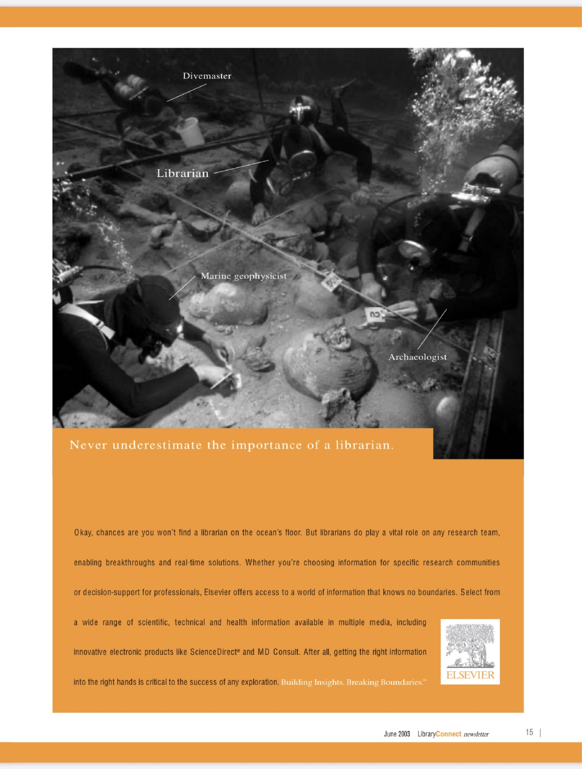



Never underestimate the importance of a librarian.

Okay, chances are you won't find a librarian on the ocean's floor. But librarians do play a vital role on any research team,

enabling breakthroughs and real-time solutions. Whether you're choosing information for specific research communities

or decision-support for professionals, Elsevier offers access to a world of information that knows no boundaries. Select from

a wide range of scientific, technical and health information available in multiple media, including

innovative electronic products like ScienceDirect® and MD Consult. After all, getting the right information



into the right hands is critical to the success of any exploration. Building Insights. Breaking Boundaries."